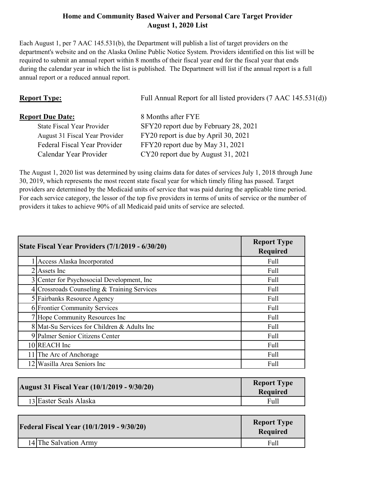## **Home and Community Based Waiver and Personal Care Target Provider August 1, 2020 List**

Each August 1, per 7 AAC 145.531(b), the Department will publish a list of target providers on the department's website and on the Alaska Online Public Notice System. Providers identified on this list will be required to submit an annual report within 8 months of their fiscal year end for the fiscal year that ends during the calendar year in which the list is published. The Department will list if the annual report is a full annual report or a reduced annual report.

| <b>Report Type:</b>               | Full Annual Report for all listed providers (7 AAC 145.531(d)) |
|-----------------------------------|----------------------------------------------------------------|
| <b>Report Due Date:</b>           | 8 Months after FYE                                             |
| <b>State Fiscal Year Provider</b> | SFY20 report due by February 28, 2021                          |
| August 31 Fiscal Year Provider    | FY20 report is due by April 30, 2021                           |
| Federal Fiscal Year Provider      | FFY20 report due by May 31, 2021                               |
| Calendar Year Provider            | CY20 report due by August 31, 2021                             |

The August 1, 2020 list was determined by using claims data for dates of services July 1, 2018 through June 30, 2019, which represents the most recent state fiscal year for which timely filing has passed. Target providers are determined by the Medicaid units of service that was paid during the applicable time period. For each service category, the lessor of the top five providers in terms of units of service or the number of providers it takes to achieve 90% of all Medicaid paid units of service are selected.

| State Fiscal Year Providers (7/1/2019 - 6/30/20) | <b>Report Type</b><br><b>Required</b> |
|--------------------------------------------------|---------------------------------------|
| Access Alaska Incorporated                       | Full                                  |
| $2$ Assets Inc                                   | Full                                  |
| 3 Center for Psychosocial Development, Inc.      | Full                                  |
| 4 Crossroads Counseling & Training Services      | Full                                  |
| 5 Fairbanks Resource Agency                      | Full                                  |
| 6 Frontier Community Services                    | Full                                  |
| 7 Hope Community Resources Inc                   | Full                                  |
| 8 Mat-Su Services for Children & Adults Inc      | Full                                  |
| 9 Palmer Senior Citizens Center                  | Full                                  |
| 10 REACH Inc                                     | Full                                  |
| The Arc of Anchorage                             | Full                                  |
| Wasilla Area Seniors Inc                         | Full                                  |

| <b>August 31 Fiscal Year (10/1/2019 - 9/30/20)</b> | <b>Report Type</b><br><b>Required</b> |
|----------------------------------------------------|---------------------------------------|
| 13 Easter Seals Alaska                             | Full                                  |

| <b>Federal Fiscal Year (10/1/2019 - 9/30/20)</b> | <b>Report Type</b><br><b>Required</b> |
|--------------------------------------------------|---------------------------------------|
| 14 The Salvation Army                            | Full                                  |